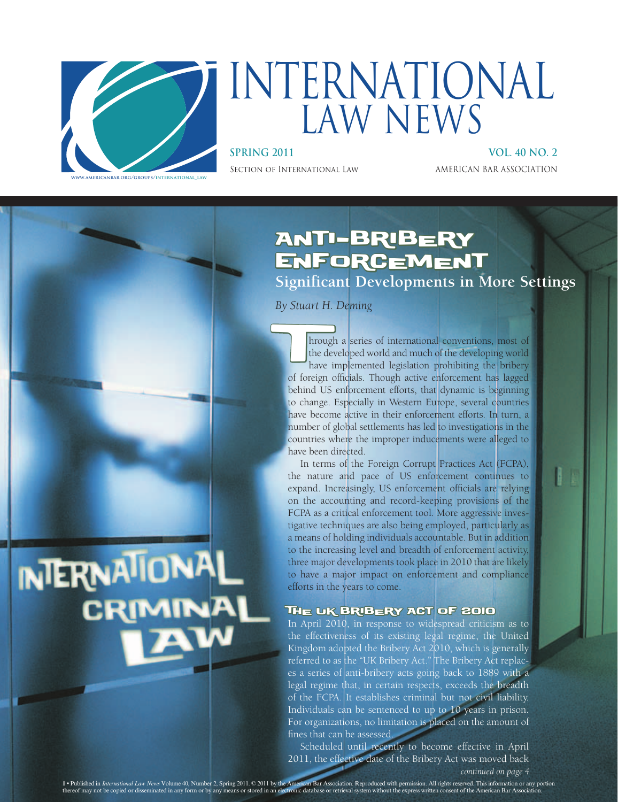

INTERNATIONAL

# INTERNATIONAL LAW NEWS

**SPRING 2011 VOL. 40 NO. 2** SECTION OF INTERNATIONAL LAW AMERICAN BAR ASSOCIATION

### Anti-Bribery **ENFORCEMENT**

**Significant Developments in More Settings**

*By Stuart H. Deming*

hrough a series of international conventions, most of the developed world and much of the developing world have implemented legislation prohibiting the bribery of foreign officials. Though active enforcement has lagged hrough a series of international conventions, most of the developed world and much of the developing world have implemented legislation prohibiting the bribery behind US enforcement efforts, that dynamic is beginning to change. Especially in Western Europe, several countries have become active in their enforcement efforts. In turn, a number of global settlements has led to investigations in the countries where the improper inducements were alleged to have been directed.

In terms of the Foreign Corrupt Practices Act (FCPA), the nature and pace of US enforcement continues to expand. Increasingly, US enforcement officials are relying on the accounting and record-keeping provisions of the FCPA as a critical enforcement tool. More aggressive investigative techniques are also being employed, particularly as a means of holding individuals accountable. But in addition to the increasing level and breadth of enforcement activity, three major developments took place in 2010 that are likely to have a major impact on enforcement and compliance efforts in the years to come.

### The UK Bribery Act of 2010

In April 2010, in response to widespread criticism as to the effectiveness of its existing legal regime, the United Kingdom adopted the Bribery Act 2010, which is generally referred to as the "UK Bribery Act." The Bribery Act replaces a series of anti-bribery acts going back to 1889 with a legal regime that, in certain respects, exceeds the breadth of the FCPA. It establishes criminal but not civil liability. Individuals can be sentenced to up to 10 years in prison. For organizations, no limitation is placed on the amount of fines that can be assessed.

Scheduled until recently to become effective in April 2011, the effective date of the Bribery Act was moved back *continued on page 4*

**1 •** Published in *Association. Reproduced with permission. All rights reserved. This information or any portion atabase or retrieval system without the express written consent of the American Bar Association.* **1** • Published in *International Law News* Volume 40, Number 2, Spring 2011.  $\odot$  2011 by the American chronic database or retrieval system without the express written consent of the express written and Bar Association.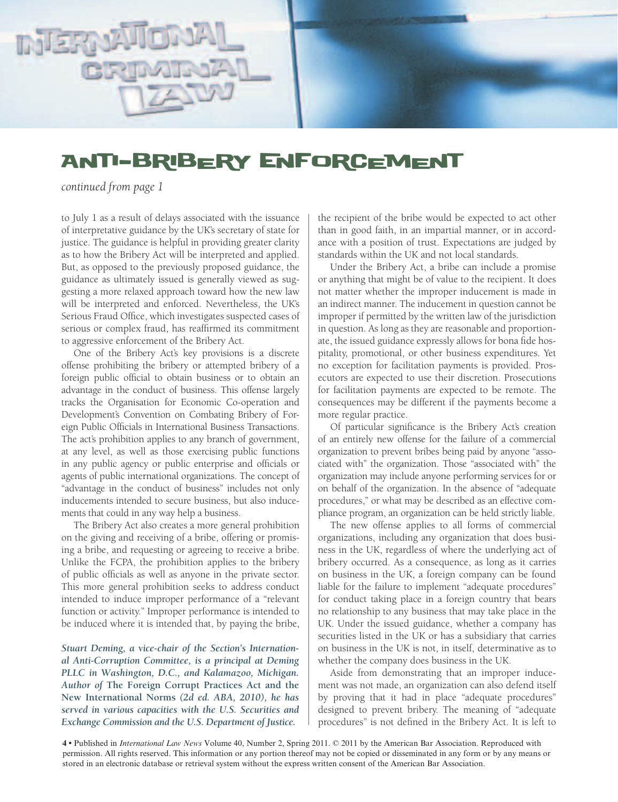

### Anti-Bribery Enforcement

*continued from page 1*

to July 1 as a result of delays associated with the issuance of interpretative guidance by the UK's secretary of state for justice. The guidance is helpful in providing greater clarity as to how the Bribery Act will be interpreted and applied. But, as opposed to the previously proposed guidance, the guidance as ultimately issued is generally viewed as suggesting a more relaxed approach toward how the new law will be interpreted and enforced. Nevertheless, the UK's Serious Fraud Office, which investigates suspected cases of serious or complex fraud, has reaffirmed its commitment to aggressive enforcement of the Bribery Act.

One of the Bribery Act's key provisions is a discrete offense prohibiting the bribery or attempted bribery of a foreign public official to obtain business or to obtain an advantage in the conduct of business. This offense largely tracks the Organisation for Economic Co-operation and Development's Convention on Combating Bribery of Foreign Public Officials in International Business Transactions. The act's prohibition applies to any branch of government, at any level, as well as those exercising public functions in any public agency or public enterprise and officials or agents of public international organizations. The concept of "advantage in the conduct of business" includes not only inducements intended to secure business, but also inducements that could in any way help a business.

The Bribery Act also creates a more general prohibition on the giving and receiving of a bribe, offering or promising a bribe, and requesting or agreeing to receive a bribe. Unlike the FCPA, the prohibition applies to the bribery of public officials as well as anyone in the private sector. This more general prohibition seeks to address conduct intended to induce improper performance of a "relevant function or activity." Improper performance is intended to be induced where it is intended that, by paying the bribe,

*Stuart Deming, a vice-chair of the Section's International Anti-Corruption Committee, is a principal at Deming PLLC in Washington, D.C., and Kalamazoo, Michigan. Author of* **The Foreign Corrupt Practices Act and the New International Norms** *(2d ed. ABA, 2010), he has served in various capacities with the U.S. Securities and Exchange Commission and the U.S. Department of Justice.*

the recipient of the bribe would be expected to act other than in good faith, in an impartial manner, or in accordance with a position of trust. Expectations are judged by standards within the UK and not local standards.

Under the Bribery Act, a bribe can include a promise or anything that might be of value to the recipient. It does not matter whether the improper inducement is made in an indirect manner. The inducement in question cannot be improper if permitted by the written law of the jurisdiction in question. As long as they are reasonable and proportionate, the issued guidance expressly allows for bona fide hospitality, promotional, or other business expenditures. Yet no exception for facilitation payments is provided. Prosecutors are expected to use their discretion. Prosecutions for facilitation payments are expected to be remote. The consequences may be different if the payments become a more regular practice.

Of particular significance is the Bribery Act's creation of an entirely new offense for the failure of a commercial organization to prevent bribes being paid by anyone "associated with" the organization. Those "associated with" the organization may include anyone performing services for or on behalf of the organization. In the absence of "adequate procedures," or what may be described as an effective compliance program, an organization can be held strictly liable.

The new offense applies to all forms of commercial organizations, including any organization that does business in the UK, regardless of where the underlying act of bribery occurred. As a consequence, as long as it carries on business in the UK, a foreign company can be found liable for the failure to implement "adequate procedures" for conduct taking place in a foreign country that bears no relationship to any business that may take place in the UK. Under the issued guidance, whether a company has securities listed in the UK or has a subsidiary that carries on business in the UK is not, in itself, determinative as to whether the company does business in the UK.

Aside from demonstrating that an improper inducement was not made, an organization can also defend itself by proving that it had in place "adequate procedures" designed to prevent bribery. The meaning of "adequate procedures" is not defined in the Bribery Act. It is left to

**4 •** Published in *International Law News* Volume 40, Number 2, Spring 2011. © 2011 by the American Bar Association. Reproduced with permission. All rights reserved. This information or any portion thereof may not be copied or disseminated in any form or by any means or stored in an electronic database or retrieval system without the express written consent of the American Bar Association.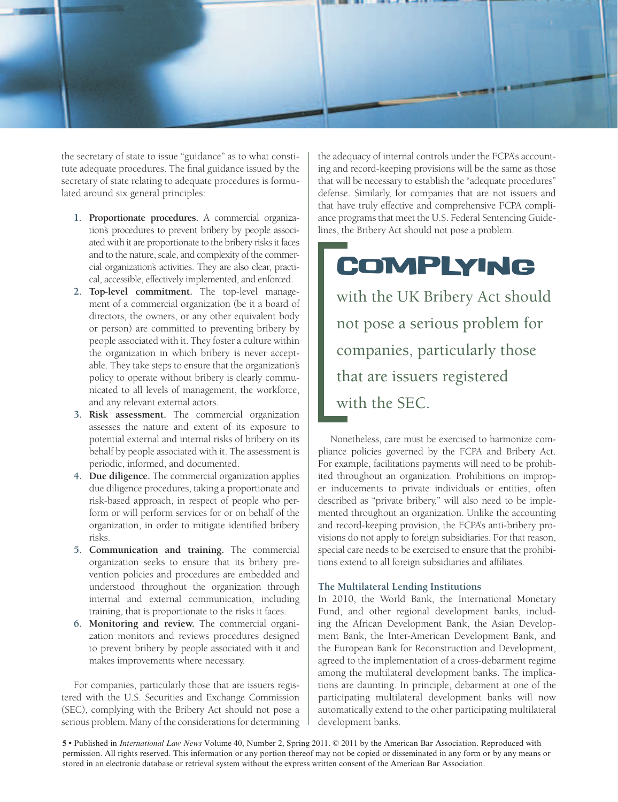

the secretary of state to issue "guidance" as to what constitute adequate procedures. The final guidance issued by the secretary of state relating to adequate procedures is formulated around six general principles:

- **1. Proportionate procedures.** A commercial organization's procedures to prevent bribery by people associated with it are proportionate to the bribery risks it faces and to the nature, scale, and complexity of the commercial organization's activities. They are also clear, practical, accessible, effectively implemented, and enforced.
- **2. Top-level commitment.** The top-level management of a commercial organization (be it a board of directors, the owners, or any other equivalent body or person) are committed to preventing bribery by people associated with it. They foster a culture within the organization in which bribery is never acceptable. They take steps to ensure that the organization's policy to operate without bribery is clearly communicated to all levels of management, the workforce, and any relevant external actors.
- **3. Risk assessment.** The commercial organization assesses the nature and extent of its exposure to potential external and internal risks of bribery on its behalf by people associated with it. The assessment is periodic, informed, and documented.
- **4. Due diligence.** The commercial organization applies due diligence procedures, taking a proportionate and risk-based approach, in respect of people who perform or will perform services for or on behalf of the organization, in order to mitigate identified bribery risks.
- **5. Communication and training.** The commercial organization seeks to ensure that its bribery prevention policies and procedures are embedded and understood throughout the organization through internal and external communication, including training, that is proportionate to the risks it faces.
- **6. Monitoring and review.** The commercial organization monitors and reviews procedures designed to prevent bribery by people associated with it and makes improvements where necessary.

For companies, particularly those that are issuers registered with the U.S. Securities and Exchange Commission (SEC), complying with the Bribery Act should not pose a serious problem. Many of the considerations for determining

the adequacy of internal controls under the FCPA's accounting and record-keeping provisions will be the same as those that will be necessary to establish the "adequate procedures" defense. Similarly, for companies that are not issuers and that have truly effective and comprehensive FCPA compliance programs that meet the U.S. Federal Sentencing Guidelines, the Bribery Act should not pose a problem.

## **COMPLYING**

with the UK Bribery Act should not pose a serious problem for companies, particularly those that are issuers registered with the SEC.

Nonetheless, care must be exercised to harmonize compliance policies governed by the FCPA and Bribery Act. For example, facilitations payments will need to be prohibited throughout an organization. Prohibitions on improper inducements to private individuals or entities, often described as "private bribery," will also need to be implemented throughout an organization. Unlike the accounting and record-keeping provision, the FCPA's anti-bribery provisions do not apply to foreign subsidiaries. For that reason, special care needs to be exercised to ensure that the prohibitions extend to all foreign subsidiaries and affiliates.

### **The Multilateral Lending Institutions**

In 2010, the World Bank, the International Monetary Fund, and other regional development banks, including the African Development Bank, the Asian Development Bank, the Inter-American Development Bank, and the European Bank for Reconstruction and Development, agreed to the implementation of a cross-debarment regime among the multilateral development banks. The implications are daunting. In principle, debarment at one of the participating multilateral development banks will now automatically extend to the other participating multilateral development banks.

**5 •** Published in *International Law News* Volume 40, Number 2, Spring 2011. © 2011 by the American Bar Association. Reproduced with permission. All rights reserved. This information or any portion thereof may not be copied or disseminated in any form or by any means or stored in an electronic database or retrieval system without the express written consent of the American Bar Association.